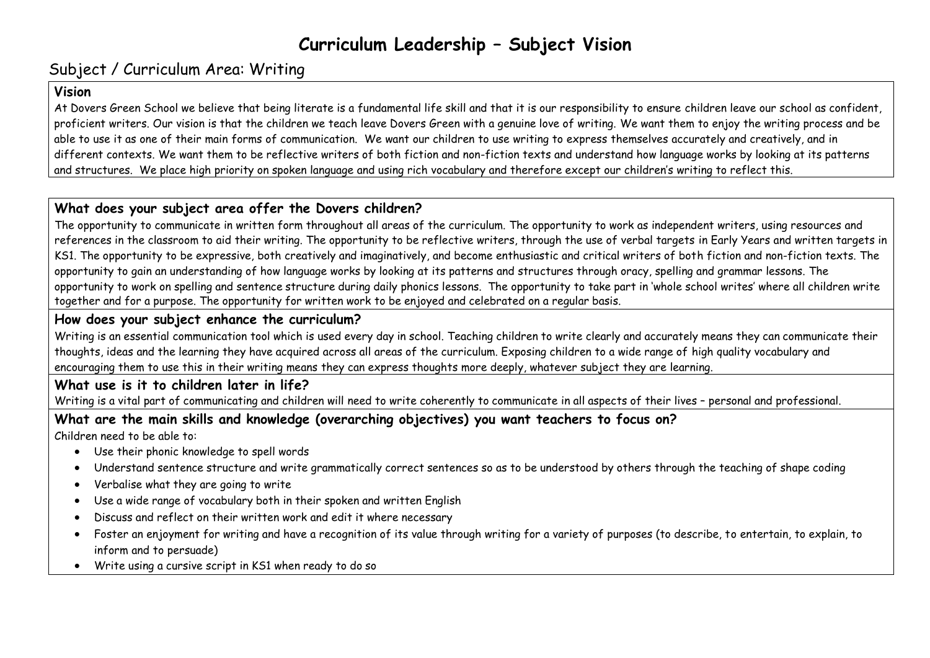# **Curriculum Leadership – Subject Vision**

# Subject / Curriculum Area: Writing

## **Vision**

At Dovers Green School we believe that being literate is a fundamental life skill and that it is our responsibility to ensure children leave our school as confident, proficient writers. Our vision is that the children we teach leave Dovers Green with a genuine love of writing. We want them to enjoy the writing process and be able to use it as one of their main forms of communication. We want our children to use writing to express themselves accurately and creatively, and in different contexts. We want them to be reflective writers of both fiction and non-fiction texts and understand how language works by looking at its patterns and structures. We place high priority on spoken language and using rich vocabulary and therefore except our children's writing to reflect this.

# **What does your subject area offer the Dovers children?**

The opportunity to communicate in written form throughout all areas of the curriculum. The opportunity to work as independent writers, using resources and references in the classroom to aid their writing. The opportunity to be reflective writers, through the use of verbal targets in Early Years and written targets in KS1. The opportunity to be expressive, both creatively and imaginatively, and become enthusiastic and critical writers of both fiction and non-fiction texts. The opportunity to gain an understanding of how language works by looking at its patterns and structures through oracy, spelling and grammar lessons. The opportunity to work on spelling and sentence structure during daily phonics lessons. The opportunity to take part in 'whole school writes' where all children write together and for a purpose. The opportunity for written work to be enjoyed and celebrated on a regular basis.

## **How does your subject enhance the curriculum?**

Writing is an essential communication tool which is used every day in school. Teaching children to write clearly and accurately means they can communicate their thoughts, ideas and the learning they have acquired across all areas of the curriculum. Exposing children to a wide range of high quality vocabulary and encouraging them to use this in their writing means they can express thoughts more deeply, whatever subject they are learning.

# **What use is it to children later in life?**

Writing is a vital part of communicating and children will need to write coherently to communicate in all aspects of their lives – personal and professional.

# **What are the main skills and knowledge (overarching objectives) you want teachers to focus on?**

Children need to be able to:

- Use their phonic knowledge to spell words
- Understand sentence structure and write grammatically correct sentences so as to be understood by others through the teaching of shape coding
- Verbalise what they are going to write
- Use a wide range of vocabulary both in their spoken and written English
- Discuss and reflect on their written work and edit it where necessary
- Foster an enjoyment for writing and have a recognition of its value through writing for a variety of purposes (to describe, to entertain, to explain, to inform and to persuade)
- Write using a cursive script in KS1 when ready to do so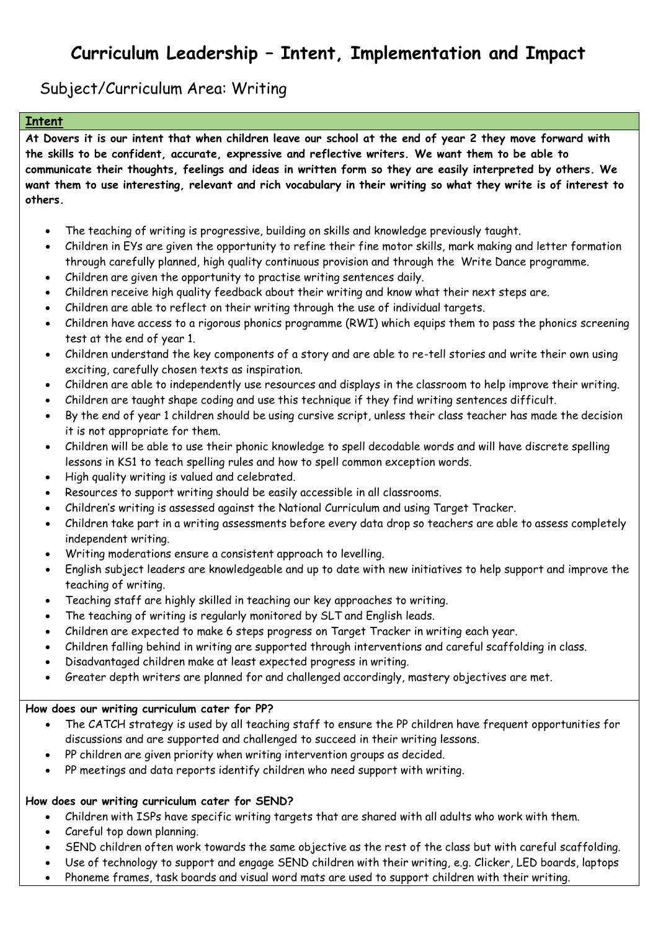# **Curriculum Leadership – Intent, Implementation and Impact**

# Subject/Curriculum Area: Writing

#### **Intent**

**At Dovers it is our intent that when children leave our school at the end of year 2 they move forward with the skills to be confident, accurate, expressive and reflective writers. We want them to be able to communicate their thoughts, feelings and ideas in written form so they are easily interpreted by others. We** want them to use interesting, relevant and rich vocabulary in their writing so what they write is of interest to **others.**

- The teaching of writing is progressive, building on skills and knowledge previously taught.
- Children in EYs are given the opportunity to refine their fine motor skills, mark making and letter formation through carefully planned, high quality continuous provision and through the Write Dance programme.
- Children are given the opportunity to practise writing sentences daily.
- Children receive high quality feedback about their writing and know what their next steps are.
- Children are able to reflect on their writing through the use of individual targets.
- Children have access to a rigorous phonics programme (RWI) which equips them to pass the phonics screening test at the end of year 1.
- Children understand the key components of a story and are able to re-tell stories and write their own using exciting, carefully chosen texts as inspiration.
- Children are able to independently use resources and displays in the classroom to help improve their writing.
- Children are taught shape coding and use this technique if they find writing sentences difficult.
- By the end of year 1 children should be using cursive script, unless their class teacher has made the decision it is not appropriate for them.
- Children will be able to use their phonic knowledge to spell decodable words and will have discrete spelling lessons in KS1 to teach spelling rules and how to spell common exception words.
- High quality writing is valued and celebrated.
- Resources to support writing should be easily accessible in all classrooms.
- Children's writing is assessed against the National Curriculum and using Target Tracker.
- Children take part in a writing assessments before every data drop so teachers are able to assess completely independent writing.
- Writing moderations ensure a consistent approach to levelling.
- English subject leaders are knowledgeable and up to date with new initiatives to help support and improve the teaching of writing.
- Teaching staff are highly skilled in teaching our key approaches to writing.
- The teaching of writing is regularly monitored by SLT and English leads.
- Children are expected to make 6 steps progress on Target Tracker in writing each year.
- Children falling behind in writing are supported through interventions and careful scaffolding in class.
- Disadvantaged children make at least expected progress in writing.
- Greater depth writers are planned for and challenged accordingly, mastery objectives are met.

#### **How does our writing curriculum cater for PP?**

- The CATCH strategy is used by all teaching staff to ensure the PP children have frequent opportunities for discussions and are supported and challenged to succeed in their writing lessons.
- PP children are given priority when writing intervention groups as decided.
- PP meetings and data reports identify children who need support with writing.

#### **How does our writing curriculum cater for SEND?**

- Children with ISPs have specific writing targets that are shared with all adults who work with them.
- Careful top down planning.
- SEND children often work towards the same objective as the rest of the class but with careful scaffolding.
- Use of technology to support and engage SEND children with their writing, e.g. Clicker, LED boards, laptops
- Phoneme frames, task boards and visual word mats are used to support children with their writing.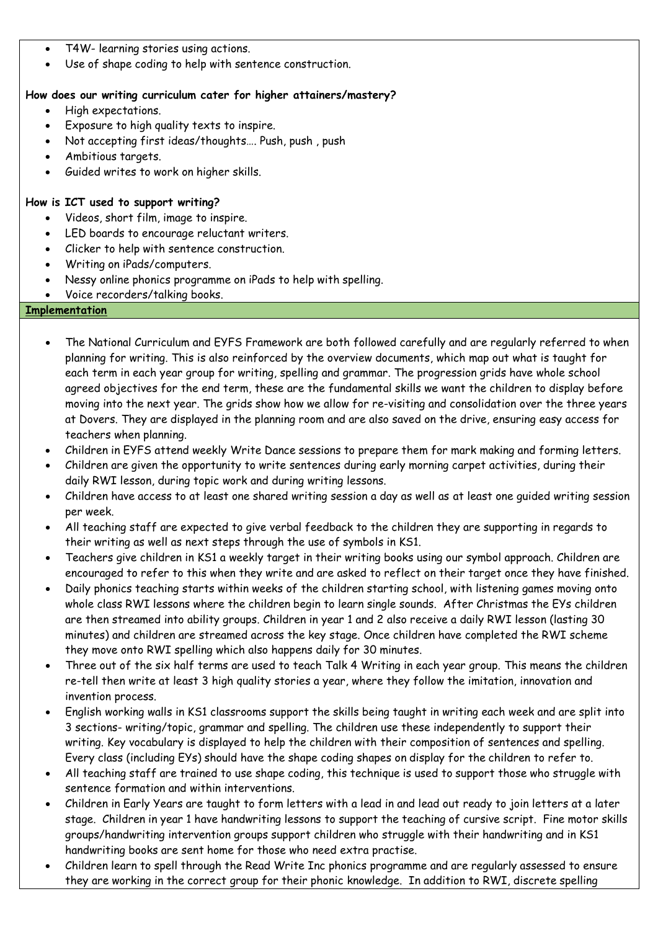- T4W- learning stories using actions.
- Use of shape coding to help with sentence construction.

### **How does our writing curriculum cater for higher attainers/mastery?**

- High expectations.
- Exposure to high quality texts to inspire.
- Not accepting first ideas/thoughts…. Push, push , push
- Ambitious targets.
- Guided writes to work on higher skills.

## **How is ICT used to support writing?**

- Videos, short film, image to inspire.
- LED boards to encourage reluctant writers.
- Clicker to help with sentence construction.
- Writing on iPads/computers.
- Nessy online phonics programme on iPads to help with spelling.
- Voice recorders/talking books.

## **Implementation**

- The National Curriculum and EYFS Framework are both followed carefully and are regularly referred to when planning for writing. This is also reinforced by the overview documents, which map out what is taught for each term in each year group for writing, spelling and grammar. The progression grids have whole school agreed objectives for the end term, these are the fundamental skills we want the children to display before moving into the next year. The grids show how we allow for re-visiting and consolidation over the three years at Dovers. They are displayed in the planning room and are also saved on the drive, ensuring easy access for teachers when planning.
- Children in EYFS attend weekly Write Dance sessions to prepare them for mark making and forming letters.
- Children are given the opportunity to write sentences during early morning carpet activities, during their daily RWI lesson, during topic work and during writing lessons.
- Children have access to at least one shared writing session a day as well as at least one guided writing session per week.
- All teaching staff are expected to give verbal feedback to the children they are supporting in regards to their writing as well as next steps through the use of symbols in KS1.
- Teachers give children in KS1 a weekly target in their writing books using our symbol approach. Children are encouraged to refer to this when they write and are asked to reflect on their target once they have finished.
- Daily phonics teaching starts within weeks of the children starting school, with listening games moving onto whole class RWI lessons where the children begin to learn single sounds. After Christmas the EYs children are then streamed into ability groups. Children in year 1 and 2 also receive a daily RWI lesson (lasting 30 minutes) and children are streamed across the key stage. Once children have completed the RWI scheme they move onto RWI spelling which also happens daily for 30 minutes.
- Three out of the six half terms are used to teach Talk 4 Writing in each year group. This means the children re-tell then write at least 3 high quality stories a year, where they follow the imitation, innovation and invention process.
- English working walls in KS1 classrooms support the skills being taught in writing each week and are split into 3 sections- writing/topic, grammar and spelling. The children use these independently to support their writing. Key vocabulary is displayed to help the children with their composition of sentences and spelling. Every class (including EYs) should have the shape coding shapes on display for the children to refer to.
- All teaching staff are trained to use shape coding, this technique is used to support those who struggle with sentence formation and within interventions.
- Children in Early Years are taught to form letters with a lead in and lead out ready to join letters at a later stage. Children in year 1 have handwriting lessons to support the teaching of cursive script. Fine motor skills groups/handwriting intervention groups support children who struggle with their handwriting and in KS1 handwriting books are sent home for those who need extra practise.
- Children learn to spell through the Read Write Inc phonics programme and are regularly assessed to ensure they are working in the correct group for their phonic knowledge. In addition to RWI, discrete spelling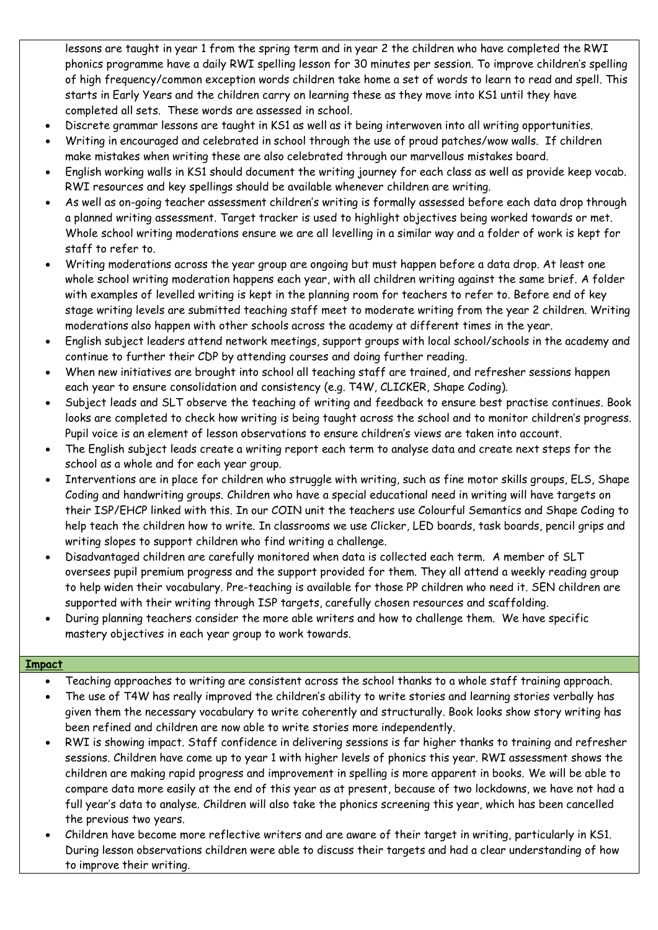lessons are taught in year 1 from the spring term and in year 2 the children who have completed the RWI phonics programme have a daily RWI spelling lesson for 30 minutes per session. To improve children's spelling of high frequency/common exception words children take home a set of words to learn to read and spell. This starts in Early Years and the children carry on learning these as they move into KS1 until they have completed all sets. These words are assessed in school.

- Discrete grammar lessons are taught in KS1 as well as it being interwoven into all writing opportunities.
- Writing in encouraged and celebrated in school through the use of proud patches/wow walls. If children make mistakes when writing these are also celebrated through our marvellous mistakes board.
- English working walls in KS1 should document the writing journey for each class as well as provide keep vocab. RWI resources and key spellings should be available whenever children are writing.
- As well as on-going teacher assessment children's writing is formally assessed before each data drop through a planned writing assessment. Target tracker is used to highlight objectives being worked towards or met. Whole school writing moderations ensure we are all levelling in a similar way and a folder of work is kept for staff to refer to.
- Writing moderations across the year group are ongoing but must happen before a data drop. At least one whole school writing moderation happens each year, with all children writing against the same brief. A folder with examples of levelled writing is kept in the planning room for teachers to refer to. Before end of key stage writing levels are submitted teaching staff meet to moderate writing from the year 2 children. Writing moderations also happen with other schools across the academy at different times in the year.
- English subject leaders attend network meetings, support groups with local school/schools in the academy and continue to further their CDP by attending courses and doing further reading.
- When new initiatives are brought into school all teaching staff are trained, and refresher sessions happen each year to ensure consolidation and consistency (e.g. T4W, CLICKER, Shape Coding).
- Subject leads and SLT observe the teaching of writing and feedback to ensure best practise continues. Book looks are completed to check how writing is being taught across the school and to monitor children's progress. Pupil voice is an element of lesson observations to ensure children's views are taken into account.
- The English subject leads create a writing report each term to analyse data and create next steps for the school as a whole and for each year group.
- Interventions are in place for children who struggle with writing, such as fine motor skills groups, ELS, Shape Coding and handwriting groups. Children who have a special educational need in writing will have targets on their ISP/EHCP linked with this. In our COIN unit the teachers use Colourful Semantics and Shape Coding to help teach the children how to write. In classrooms we use Clicker, LED boards, task boards, pencil grips and writing slopes to support children who find writing a challenge.
- Disadvantaged children are carefully monitored when data is collected each term. A member of SLT oversees pupil premium progress and the support provided for them. They all attend a weekly reading group to help widen their vocabulary. Pre-teaching is available for those PP children who need it. SEN children are supported with their writing through ISP targets, carefully chosen resources and scaffolding.
- During planning teachers consider the more able writers and how to challenge them. We have specific mastery objectives in each year group to work towards.

#### **Impact**

- Teaching approaches to writing are consistent across the school thanks to a whole staff training approach.
- The use of T4W has really improved the children's ability to write stories and learning stories verbally has given them the necessary vocabulary to write coherently and structurally. Book looks show story writing has been refined and children are now able to write stories more independently.
- RWI is showing impact. Staff confidence in delivering sessions is far higher thanks to training and refresher sessions. Children have come up to year 1 with higher levels of phonics this year. RWI assessment shows the children are making rapid progress and improvement in spelling is more apparent in books. We will be able to compare data more easily at the end of this year as at present, because of two lockdowns, we have not had a full year's data to analyse. Children will also take the phonics screening this year, which has been cancelled the previous two years.
- Children have become more reflective writers and are aware of their target in writing, particularly in KS1. During lesson observations children were able to discuss their targets and had a clear understanding of how to improve their writing.